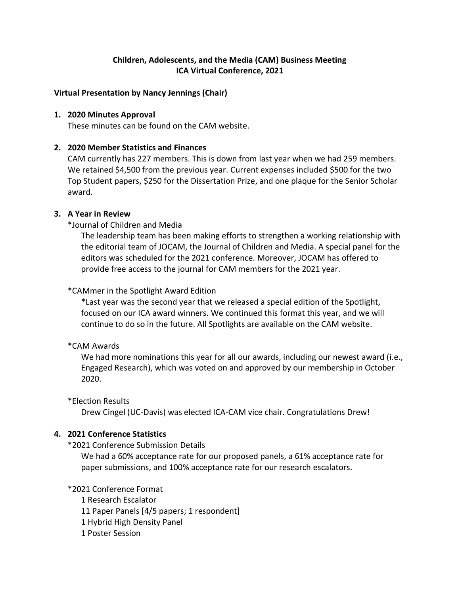# **Children, Adolescents, and the Media (CAM) Business Meeting ICA Virtual Conference, 2021**

## **Virtual Presentation by Nancy Jennings (Chair)**

### **1. 2020 Minutes Approval**

These minutes can be found on the CAM website.

## **2. 2020 Member Statistics and Finances**

CAM currently has 227 members. This is down from last year when we had 259 members. We retained \$4,500 from the previous year. Current expenses included \$500 for the two Top Student papers, \$250 for the Dissertation Prize, and one plaque for the Senior Scholar award.

### **3. A Year in Review**

\*Journal of Children and Media

The leadership team has been making efforts to strengthen a working relationship with the editorial team of JOCAM, the Journal of Children and Media. A special panel for the editors was scheduled for the 2021 conference. Moreover, JOCAM has offered to provide free access to the journal for CAM members for the 2021 year.

### \*CAMmer in the Spotlight Award Edition

\*Last year was the second year that we released a special edition of the Spotlight, focused on our ICA award winners. We continued this format this year, and we will continue to do so in the future. All Spotlights are available on the CAM website.

#### \*CAM Awards

We had more nominations this year for all our awards, including our newest award (i.e., Engaged Research), which was voted on and approved by our membership in October 2020.

#### \*Election Results

Drew Cingel (UC-Davis) was elected ICA-CAM vice chair. Congratulations Drew!

## **4. 2021 Conference Statistics**

#### \*2021 Conference Submission Details

We had a 60% acceptance rate for our proposed panels, a 61% acceptance rate for paper submissions, and 100% acceptance rate for our research escalators.

## \*2021 Conference Format

1 Research Escalator

11 Paper Panels [4/5 papers; 1 respondent]

- 1 Hybrid High Density Panel
- 1 Poster Session